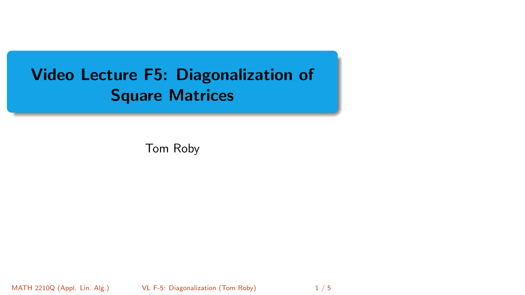# <span id="page-0-0"></span>Video Lecture F5: Diagonalization of Square Matrices

Tom Roby

MATH 2210Q (Appl. Lin. Alg.) [VL F-5: Diagonalization](#page-4-0) (Tom Roby) 1/5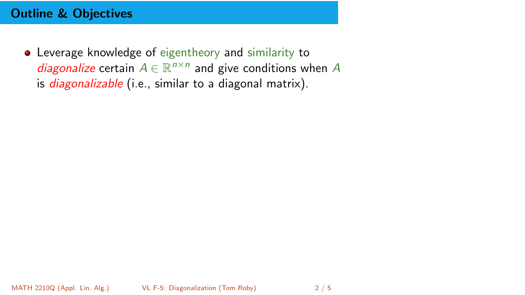## Outline & Objectives

Leverage knowledge of eigentheory and similarity to diagonalize certain  $A \in \mathbb{R}^{n \times n}$  and give conditions when A is *diagonalizable* (i.e., similar to a diagonal matrix).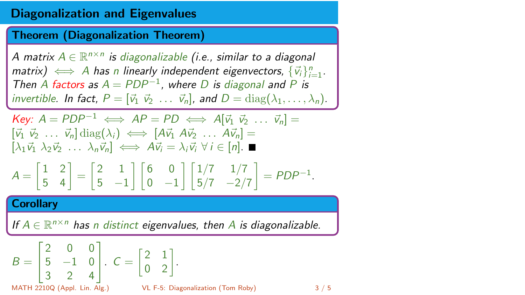## Diagonalization and Eigenvalues

Theorem (Diagonalization Theorem)

A matrix  $A\in \mathbb{R}^{n\times n}$  is diagonalizable (i.e., similar to a diagonal matrix)  $\iff$  A has n linearly independent eigenvectors,  $\{\vec{v}_i\}_{i=1}^n$ . Then A factors as  $A = PDP^{-1}$ , where D is diagonal and P is invertible. In fact,  $P = [\vec{v}_1 \ \vec{v}_2 \ \dots \ \vec{v}_n]$ , and  $D = \text{diag}(\lambda_1, \dots, \lambda_n)$ .

Key: 
$$
A = PDP^{-1} \iff AP = PD \iff A[\vec{v}_1 \ \vec{v}_2 \ \dots \ \vec{v}_n] = [\vec{v}_1 \ \vec{v}_2 \ \dots \ \vec{v}_n] \operatorname{diag}(\lambda_i) \iff [A\vec{v}_1 \ A\vec{v}_2 \ \dots \ A\vec{v}_n] = [\lambda_1 \vec{v}_1 \ \lambda_2 \vec{v}_2 \ \dots \ \lambda_n \vec{v}_n] \iff A\vec{v}_i = \lambda_i \vec{v}_i \ \forall i \in [n]. \blacksquare
$$

$$
A = \begin{bmatrix} 1 & 2 \\ 5 & 4 \end{bmatrix} = \begin{bmatrix} 2 & 1 \\ 5 & -1 \end{bmatrix} \begin{bmatrix} 6 & 0 \\ 0 & -1 \end{bmatrix} \begin{bmatrix} 1/7 & 1/7 \\ 5/7 & -2/7 \end{bmatrix} = PDP^{-1}.
$$

#### **Corollary**

If  $A \in \mathbb{R}^{n \times n}$  has n distinct eigenvalues, then A is diagonalizable.

$$
B = \begin{bmatrix} 2 & 0 & 0 \\ 5 & -1 & 0 \\ 3 & 2 & 4 \end{bmatrix}. C = \begin{bmatrix} 2 & 1 \\ 0 & 2 \end{bmatrix}.
$$
  
MATH 2210Q (Appl. Lin. Alg.)   
VL F-5: Diagonalization (Tom Roby) 3 / 5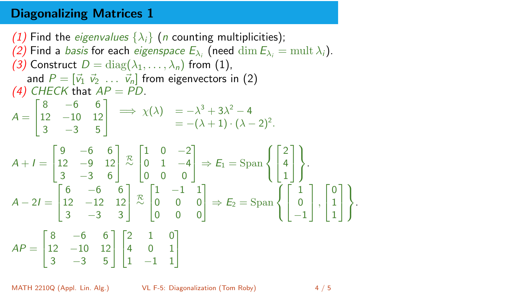### Diagonalizing Matrices 1

(1) Find the *eigenvalues*  $\{\lambda_i\}$  (*n* counting multiplicities); (2) Find a *basis* for each *eigenspace*  $E_{\lambda_i}$  (need  $\dim E_{\lambda_i} = \text{mult }\lambda_i$ ). (3) Construct  $D = \text{diag}(\lambda_1, \dots, \lambda_n)$  from (1), and  $P = [\vec{v}_1 \ \vec{v}_2 \ \dots \ \vec{v}_n]$  from eigenvectors in (2) (4) CHECK that  $AP = PD$ .  $A =$ Т  $\mathbf{I}$ 8 −6 6 12 −10 12  $3 -3 5$ T  $\mathbf{I}$  $\implies \chi(\lambda) = -\lambda^3 + 3\lambda^2 - 4$  $= -(\lambda + 1) \cdot (\lambda - 2)^2$ .  $A + I =$ Т  $\mathbf{I}$ 9 −6 6 12 −9 12  $3 -3 6$ T  $\left\lfloor \frac{\mathcal{R}}{\sim} \right\rfloor$ Т  $\mathbf{I}$  $1 \t 0 \t -2$  $0 \t1 -4$ 0 0 0 1  $\Rightarrow E_1 = \text{Span}$  $\sqrt{ }$  $\frac{1}{2}$  $\mathcal{L}$  $\sqrt{ }$  $\mathbb{I}$ 2 4 1 1  $\mathbf{I}$ )  $\mathcal{L}$ J .  $A - 2I =$ Г  $\mathbb{I}$ 6 −6 6 12 −12 12  $3 -3 3$ 1  $\vert \frac{R}{\sim}$  $\sqrt{ }$  $\mathbb{I}$ 1 −1 1 0 0 0 0 0 0 T  $\Rightarrow$   $E_2$  = Span  $\sqrt{ }$  $\left\vert \right\vert$  $\mathcal{L}$ Т -1 1 0 −1 1  $\vert \cdot$  $\sqrt{ }$  $\mathbb{I}$ 0 1 1 1  $\mathbf{I}$  $\mathcal{L}$  $\mathcal{L}$ J  $AP =$ Г  $\mathbf{I}$ 8 −6 6 12 −10 12  $3 -3 5$ T  $\mathbf{I}$ Г  $\mathbf{I}$ 2 1 0 4 0 1 1 −1 1 1  $\mathbf{I}$ 

.